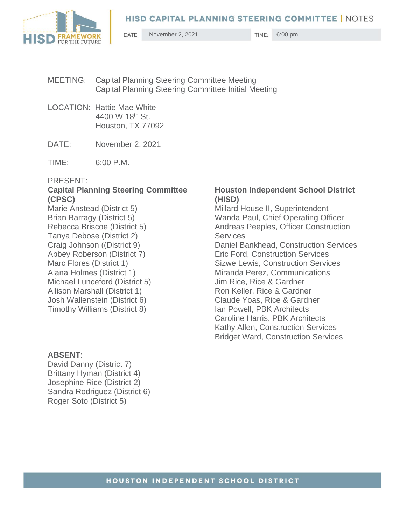

DATE: November 2, 2021 6:00 pm

- MEETING: Capital Planning Steering Committee Meeting Capital Planning Steering Committee Initial Meeting
- LOCATION: Hattie Mae White 4400 W 18th St. Houston, TX 77092
- DATE: November 2, 2021
- TIME: 6:00 P.M.

### PRESENT:

# **Capital Planning Steering Committee (CPSC)**

Marie Anstead (District 5) Brian Barragy (District 5) Rebecca Briscoe (District 5) Tanya Debose (District 2) Craig Johnson ((District 9) Abbey Roberson (District 7) Marc Flores (District 1) Alana Holmes (District 1) Michael Lunceford (District 5) Allison Marshall (District 1) Josh Wallenstein (District 6) Timothy Williams (District 8)

### **ABSENT**:

David Danny (District 7) Brittany Hyman (District 4) Josephine Rice (District 2) Sandra Rodriguez (District 6) Roger Soto (District 5)

### **Houston Independent School District (HISD)**

Millard House II, Superintendent Wanda Paul, Chief Operating Officer Andreas Peeples, Officer Construction **Services** Daniel Bankhead, Construction Services Eric Ford, Construction Services Sizwe Lewis, Construction Services Miranda Perez, Communications Jim Rice, Rice & Gardner Ron Keller, Rice & Gardner Claude Yoas, Rice & Gardner Ian Powell, PBK Architects Caroline Harris, PBK Architects Kathy Allen, Construction Services Bridget Ward, Construction Services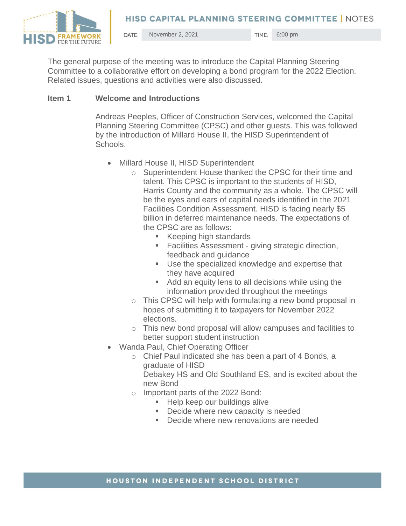

November 2, 2021 TIME: 6:00 pm DATE:

The general purpose of the meeting was to introduce the Capital Planning Steering Committee to a collaborative effort on developing a bond program for the 2022 Election. Related issues, questions and activities were also discussed.

## **Item 1 Welcome and Introductions**

Andreas Peeples, Officer of Construction Services, welcomed the Capital Planning Steering Committee (CPSC) and other guests. This was followed by the introduction of Millard House II, the HISD Superintendent of Schools.

- Millard House II, HISD Superintendent
	- o Superintendent House thanked the CPSC for their time and talent. This CPSC is important to the students of HISD, Harris County and the community as a whole. The CPSC will be the eyes and ears of capital needs identified in the 2021 Facilities Condition Assessment. HISD is facing nearly \$5 billion in deferred maintenance needs. The expectations of the CPSC are as follows:
		- Keeping high standards
		- **EXECTE:** Facilities Assessment giving strategic direction, feedback and guidance
		- Use the specialized knowledge and expertise that they have acquired
		- Add an equity lens to all decisions while using the information provided throughout the meetings
	- o This CPSC will help with formulating a new bond proposal in hopes of submitting it to taxpayers for November 2022 elections.
	- o This new bond proposal will allow campuses and facilities to better support student instruction
- Wanda Paul, Chief Operating Officer
	- o Chief Paul indicated she has been a part of 4 Bonds, a graduate of HISD Debakey HS and Old Southland ES, and is excited about the new Bond
	- o Important parts of the 2022 Bond:
		- **EXECTE Help keep our buildings alive**
		- Decide where new capacity is needed
		- Decide where new renovations are needed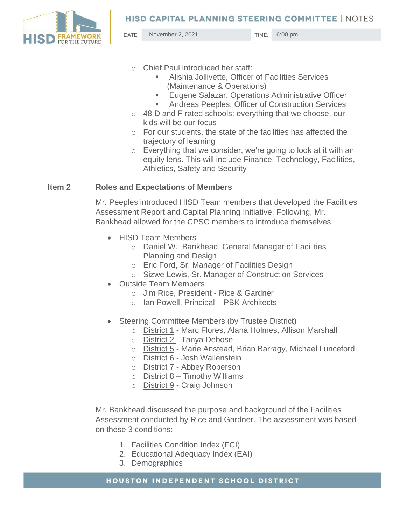

DATE: November 2, 2021 6:00 pm

- o Chief Paul introduced her staff:
	- Alishia Jollivette, Officer of Facilities Services (Maintenance & Operations)
	- Eugene Salazar, Operations Administrative Officer
	- Andreas Peeples, Officer of Construction Services
- o 48 D and F rated schools: everything that we choose, our kids will be our focus
- o For our students, the state of the facilities has affected the trajectory of learning
- o Everything that we consider, we're going to look at it with an equity lens. This will include Finance, Technology, Facilities, Athletics, Safety and Security

### **Item 2 Roles and Expectations of Members**

Mr. Peeples introduced HISD Team members that developed the Facilities Assessment Report and Capital Planning Initiative. Following, Mr. Bankhead allowed for the CPSC members to introduce themselves.

- HISD Team Members
	- o Daniel W. Bankhead, General Manager of Facilities Planning and Design
	- o Eric Ford, Sr. Manager of Facilities Design
	- o Sizwe Lewis, Sr. Manager of Construction Services
- Outside Team Members
	- o Jim Rice, President Rice & Gardner
	- o Ian Powell, Principal PBK Architects
- Steering Committee Members (by Trustee District)
	- o District 1 Marc Flores, Alana Holmes, Allison Marshall
	- o District 2 Tanya Debose
	- o District 5 Marie Anstead, Brian Barragy, Michael Lunceford
	- o District 6 Josh Wallenstein
	- o District 7 Abbey Roberson
	- $\circ$  District 8 Timothy Williams
	- o District 9 Craig Johnson

Mr. Bankhead discussed the purpose and background of the Facilities Assessment conducted by Rice and Gardner. The assessment was based on these 3 conditions:

- 1. Facilities Condition Index (FCI)
- 2. Educational Adequacy Index (EAI)
- 3. Demographics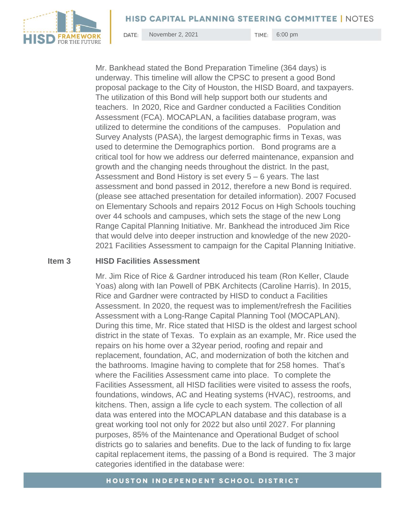

DATE: November 2, 2021 6:00 pm

Mr. Bankhead stated the Bond Preparation Timeline (364 days) is underway. This timeline will allow the CPSC to present a good Bond proposal package to the City of Houston, the HISD Board, and taxpayers. The utilization of this Bond will help support both our students and teachers. In 2020, Rice and Gardner conducted a Facilities Condition Assessment (FCA). MOCAPLAN, a facilities database program, was utilized to determine the conditions of the campuses. Population and Survey Analysts (PASA), the largest demographic firms in Texas, was used to determine the Demographics portion. Bond programs are a critical tool for how we address our deferred maintenance, expansion and growth and the changing needs throughout the district. In the past, Assessment and Bond History is set every 5 – 6 years. The last assessment and bond passed in 2012, therefore a new Bond is required. (please see attached presentation for detailed information). 2007 Focused on Elementary Schools and repairs 2012 Focus on High Schools touching over 44 schools and campuses, which sets the stage of the new Long Range Capital Planning Initiative. Mr. Bankhead the introduced Jim Rice that would delve into deeper instruction and knowledge of the new 2020- 2021 Facilities Assessment to campaign for the Capital Planning Initiative.

### **Item 3 HISD Facilities Assessment**

Mr. Jim Rice of Rice & Gardner introduced his team (Ron Keller, Claude Yoas) along with Ian Powell of PBK Architects (Caroline Harris). In 2015, Rice and Gardner were contracted by HISD to conduct a Facilities Assessment. In 2020, the request was to implement/refresh the Facilities Assessment with a Long-Range Capital Planning Tool (MOCAPLAN). During this time, Mr. Rice stated that HISD is the oldest and largest school district in the state of Texas. To explain as an example, Mr. Rice used the repairs on his home over a 32year period, roofing and repair and replacement, foundation, AC, and modernization of both the kitchen and the bathrooms. Imagine having to complete that for 258 homes. That's where the Facilities Assessment came into place. To complete the Facilities Assessment, all HISD facilities were visited to assess the roofs, foundations, windows, AC and Heating systems (HVAC), restrooms, and kitchens. Then, assign a life cycle to each system. The collection of all data was entered into the MOCAPLAN database and this database is a great working tool not only for 2022 but also until 2027. For planning purposes, 85% of the Maintenance and Operational Budget of school districts go to salaries and benefits. Due to the lack of funding to fix large capital replacement items, the passing of a Bond is required. The 3 major categories identified in the database were: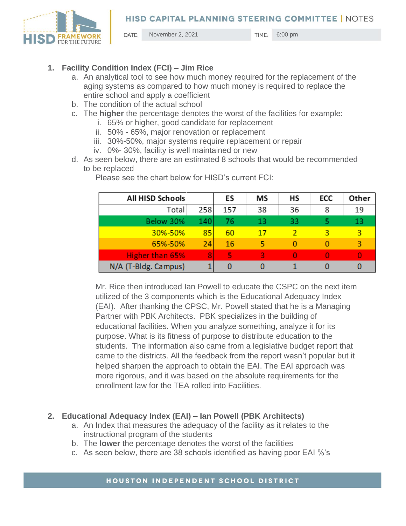

DATE: November 2, 2021 **11ME**: 6:00 pm

- **1. Facility Condition Index (FCI) – Jim Rice**
	- a. An analytical tool to see how much money required for the replacement of the aging systems as compared to how much money is required to replace the entire school and apply a coefficient
	- b. The condition of the actual school
	- c. The **higher** the percentage denotes the worst of the facilities for example:
		- i. 65% or higher, good candidate for replacement
		- ii. 50% 65%, major renovation or replacement
		- iii. 30%-50%, major systems require replacement or repair
		- iv. 0%- 30%, facility is well maintained or new
	- d. As seen below, there are an estimated 8 schools that would be recommended to be replaced

| All HISD Schools     |     | ES  | МS | НS | ECC | Other |
|----------------------|-----|-----|----|----|-----|-------|
| Total                | 258 | 157 | 38 | 36 | 8   | 19    |
| Below 30%            | 140 | 76  | 13 | 33 |     | 13    |
| 30%-50%              | 85  | 60  | 17 |    | ঽ   | 3     |
| 65%-50%              | 24  | 16  |    |    |     | R     |
| Higher than 65%      | 8   | ц   | ર  |    |     | O     |
| N/A (T-Bldg. Campus) |     |     |    |    |     |       |

Please see the chart below for HISD's current FCI:

Mr. Rice then introduced Ian Powell to educate the CSPC on the next item utilized of the 3 components which is the Educational Adequacy Index (EAI). After thanking the CPSC, Mr. Powell stated that he is a Managing Partner with PBK Architects. PBK specializes in the building of educational facilities. When you analyze something, analyze it for its purpose. What is its fitness of purpose to distribute education to the students. The information also came from a legislative budget report that came to the districts. All the feedback from the report wasn't popular but it helped sharpen the approach to obtain the EAI. The EAI approach was more rigorous, and it was based on the absolute requirements for the enrollment law for the TEA rolled into Facilities.

## **2. Educational Adequacy Index (EAI) – Ian Powell (PBK Architects)**

- a. An Index that measures the adequacy of the facility as it relates to the instructional program of the students
- b. The **lower** the percentage denotes the worst of the facilities
- c. As seen below, there are 38 schools identified as having poor EAI %'s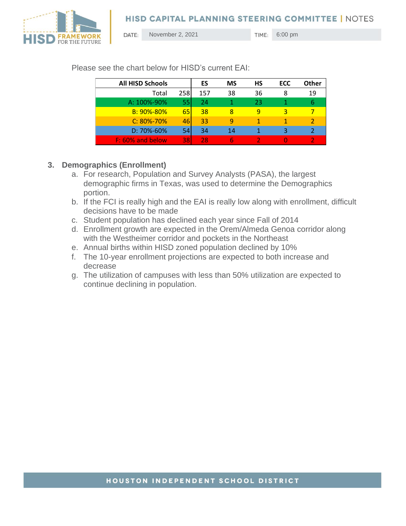



DATE: November 2, 2021 6:00 pm

| <b>All HISD Schools</b> |            | ES  | <b>MS</b> | HS | ECC | Other |
|-------------------------|------------|-----|-----------|----|-----|-------|
| Total                   | 258        | 157 | 38        | 36 | 8   | 19    |
| A: 100%-90%             | 55         | 24  |           | 23 |     | 6     |
| B: 90%-80%              | <b>651</b> | 38  | 8         | 9  |     |       |
| $C: 80\% - 70\%$        | 46         | 33  | ٩         |    |     |       |
| $D: 70\% - 60\%$        | 54         | 34  | 14        |    |     |       |
| F: 60% and below        | 38I        | 28  |           |    |     |       |

Please see the chart below for HISD's current EAI:

## **3. Demographics (Enrollment)**

- a. For research, Population and Survey Analysts (PASA), the largest demographic firms in Texas, was used to determine the Demographics portion.
- b. If the FCI is really high and the EAI is really low along with enrollment, difficult decisions have to be made
- c. Student population has declined each year since Fall of 2014
- d. Enrollment growth are expected in the Orem/Almeda Genoa corridor along with the Westheimer corridor and pockets in the Northeast
- e. Annual births within HISD zoned population declined by 10%
- f. The 10-year enrollment projections are expected to both increase and decrease
- g. The utilization of campuses with less than 50% utilization are expected to continue declining in population.